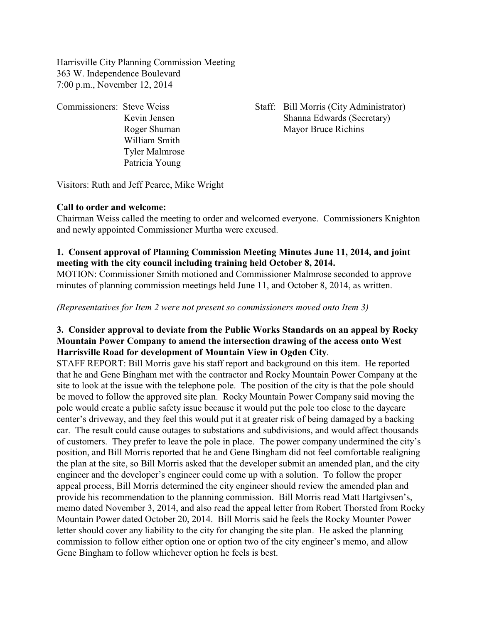Harrisville City Planning Commission Meeting 363 W. Independence Boulevard 7:00 p.m., November 12, 2014

William Smith Tyler Malmrose

Commissioners: Steve Weiss Staff: Bill Morris (City Administrator) Kevin Jensen Shanna Edwards (Secretary) Roger Shuman Mayor Bruce Richins

Visitors: Ruth and Jeff Pearce, Mike Wright

Patricia Young

## **Call to order and welcome:**

Chairman Weiss called the meeting to order and welcomed everyone. Commissioners Knighton and newly appointed Commissioner Murtha were excused.

## **1. Consent approval of Planning Commission Meeting Minutes June 11, 2014, and joint meeting with the city council including training held October 8, 2014.**

MOTION: Commissioner Smith motioned and Commissioner Malmrose seconded to approve minutes of planning commission meetings held June 11, and October 8, 2014, as written.

*(Representatives for Item 2 were not present so commissioners moved onto Item 3)*

## **3. Consider approval to deviate from the Public Works Standards on an appeal by Rocky Mountain Power Company to amend the intersection drawing of the access onto West Harrisville Road for development of Mountain View in Ogden City**.

STAFF REPORT: Bill Morris gave his staff report and background on this item. He reported that he and Gene Bingham met with the contractor and Rocky Mountain Power Company at the site to look at the issue with the telephone pole. The position of the city is that the pole should be moved to follow the approved site plan. Rocky Mountain Power Company said moving the pole would create a public safety issue because it would put the pole too close to the daycare center's driveway, and they feel this would put it at greater risk of being damaged by a backing car. The result could cause outages to substations and subdivisions, and would affect thousands of customers. They prefer to leave the pole in place. The power company undermined the city's position, and Bill Morris reported that he and Gene Bingham did not feel comfortable realigning the plan at the site, so Bill Morris asked that the developer submit an amended plan, and the city engineer and the developer's engineer could come up with a solution. To follow the proper appeal process, Bill Morris determined the city engineer should review the amended plan and provide his recommendation to the planning commission. Bill Morris read Matt Hartgivsen's, memo dated November 3, 2014, and also read the appeal letter from Robert Thorsted from Rocky Mountain Power dated October 20, 2014. Bill Morris said he feels the Rocky Mounter Power letter should cover any liability to the city for changing the site plan. He asked the planning commission to follow either option one or option two of the city engineer's memo, and allow Gene Bingham to follow whichever option he feels is best.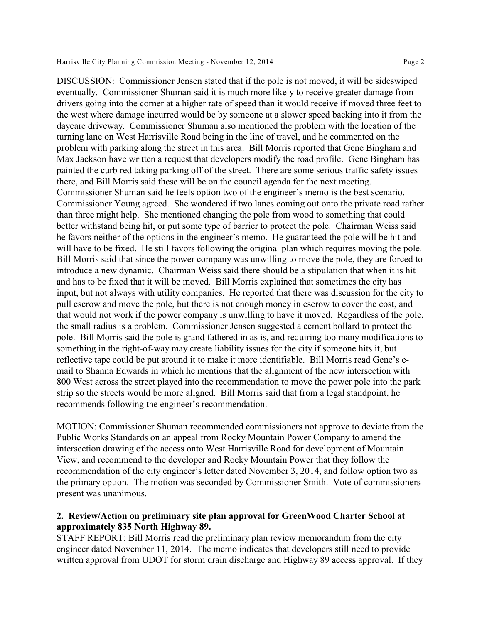DISCUSSION: Commissioner Jensen stated that if the pole is not moved, it will be sideswiped eventually. Commissioner Shuman said it is much more likely to receive greater damage from drivers going into the corner at a higher rate of speed than it would receive if moved three feet to the west where damage incurred would be by someone at a slower speed backing into it from the daycare driveway. Commissioner Shuman also mentioned the problem with the location of the turning lane on West Harrisville Road being in the line of travel, and he commented on the problem with parking along the street in this area. Bill Morris reported that Gene Bingham and Max Jackson have written a request that developers modify the road profile. Gene Bingham has painted the curb red taking parking off of the street. There are some serious traffic safety issues there, and Bill Morris said these will be on the council agenda for the next meeting. Commissioner Shuman said he feels option two of the engineer's memo is the best scenario. Commissioner Young agreed. She wondered if two lanes coming out onto the private road rather than three might help. She mentioned changing the pole from wood to something that could better withstand being hit, or put some type of barrier to protect the pole. Chairman Weiss said he favors neither of the options in the engineer's memo. He guaranteed the pole will be hit and will have to be fixed. He still favors following the original plan which requires moving the pole. Bill Morris said that since the power company was unwilling to move the pole, they are forced to introduce a new dynamic. Chairman Weiss said there should be a stipulation that when it is hit and has to be fixed that it will be moved. Bill Morris explained that sometimes the city has input, but not always with utility companies. He reported that there was discussion for the city to pull escrow and move the pole, but there is not enough money in escrow to cover the cost, and that would not work if the power company is unwilling to have it moved. Regardless of the pole, the small radius is a problem. Commissioner Jensen suggested a cement bollard to protect the pole. Bill Morris said the pole is grand fathered in as is, and requiring too many modifications to something in the right-of-way may create liability issues for the city if someone hits it, but reflective tape could be put around it to make it more identifiable. Bill Morris read Gene's email to Shanna Edwards in which he mentions that the alignment of the new intersection with 800 West across the street played into the recommendation to move the power pole into the park strip so the streets would be more aligned. Bill Morris said that from a legal standpoint, he recommends following the engineer's recommendation.

MOTION: Commissioner Shuman recommended commissioners not approve to deviate from the Public Works Standards on an appeal from Rocky Mountain Power Company to amend the intersection drawing of the access onto West Harrisville Road for development of Mountain View, and recommend to the developer and Rocky Mountain Power that they follow the recommendation of the city engineer's letter dated November 3, 2014, and follow option two as the primary option. The motion was seconded by Commissioner Smith. Vote of commissioners present was unanimous.

## **2. Review/Action on preliminary site plan approval for GreenWood Charter School at approximately 835 North Highway 89.**

STAFF REPORT: Bill Morris read the preliminary plan review memorandum from the city engineer dated November 11, 2014. The memo indicates that developers still need to provide written approval from UDOT for storm drain discharge and Highway 89 access approval. If they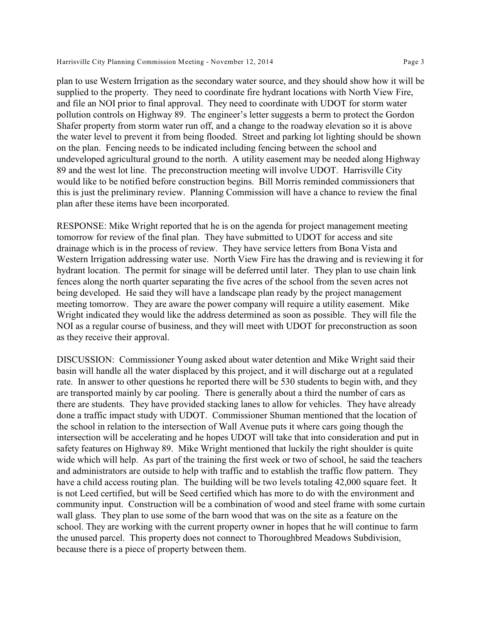plan to use Western Irrigation as the secondary water source, and they should show how it will be supplied to the property. They need to coordinate fire hydrant locations with North View Fire, and file an NOI prior to final approval. They need to coordinate with UDOT for storm water pollution controls on Highway 89. The engineer's letter suggests a berm to protect the Gordon Shafer property from storm water run off, and a change to the roadway elevation so it is above the water level to prevent it from being flooded. Street and parking lot lighting should be shown on the plan. Fencing needs to be indicated including fencing between the school and undeveloped agricultural ground to the north. A utility easement may be needed along Highway 89 and the west lot line. The preconstruction meeting will involve UDOT. Harrisville City would like to be notified before construction begins. Bill Morris reminded commissioners that this is just the preliminary review. Planning Commission will have a chance to review the final plan after these items have been incorporated.

RESPONSE: Mike Wright reported that he is on the agenda for project management meeting tomorrow for review of the final plan. They have submitted to UDOT for access and site drainage which is in the process of review. They have service letters from Bona Vista and Western Irrigation addressing water use. North View Fire has the drawing and is reviewing it for hydrant location. The permit for sinage will be deferred until later. They plan to use chain link fences along the north quarter separating the five acres of the school from the seven acres not being developed. He said they will have a landscape plan ready by the project management meeting tomorrow. They are aware the power company will require a utility easement. Mike Wright indicated they would like the address determined as soon as possible. They will file the NOI as a regular course of business, and they will meet with UDOT for preconstruction as soon as they receive their approval.

DISCUSSION: Commissioner Young asked about water detention and Mike Wright said their basin will handle all the water displaced by this project, and it will discharge out at a regulated rate. In answer to other questions he reported there will be 530 students to begin with, and they are transported mainly by car pooling. There is generally about a third the number of cars as there are students. They have provided stacking lanes to allow for vehicles. They have already done a traffic impact study with UDOT. Commissioner Shuman mentioned that the location of the school in relation to the intersection of Wall Avenue puts it where cars going though the intersection will be accelerating and he hopes UDOT will take that into consideration and put in safety features on Highway 89. Mike Wright mentioned that luckily the right shoulder is quite wide which will help. As part of the training the first week or two of school, he said the teachers and administrators are outside to help with traffic and to establish the traffic flow pattern. They have a child access routing plan. The building will be two levels totaling 42,000 square feet. It is not Leed certified, but will be Seed certified which has more to do with the environment and community input. Construction will be a combination of wood and steel frame with some curtain wall glass. They plan to use some of the barn wood that was on the site as a feature on the school. They are working with the current property owner in hopes that he will continue to farm the unused parcel. This property does not connect to Thoroughbred Meadows Subdivision, because there is a piece of property between them.